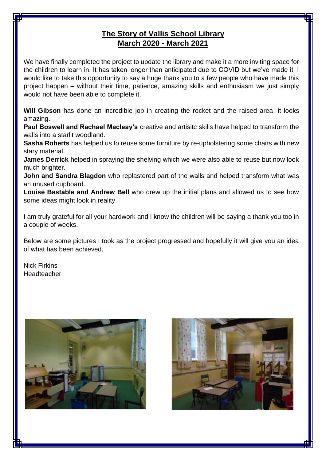## **The Story of Vallis School Library March 2020 - March 2021**

We have finally completed the project to update the library and make it a more inviting space for the children to learn in. It has taken longer than anticipated due to COVID but we've made it. I would like to take this opportunity to say a huge thank you to a few people who have made this project happen – without their time, patience, amazing skills and enthusiasm we just simply would not have been able to complete it.

**Will Gibson** has done an incredible job in creating the rocket and the raised area; it looks amazing.

**Paul Boswell and Rachael Macleay's** creative and artisitc skills have helped to transform the walls into a starlit woodland.

**Sasha Roberts** has helped us to reuse some furniture by re-upholstering some chairs with new stary material.

**James Derrick** helped in spraying the shelving which we were also able to reuse but now look much brighter.

**John and Sandra Blagdon** who replastered part of the walls and helped transform what was an unused cupboard.

**Louise Bastable and Andrew Bell** who drew up the initial plans and allowed us to see how some ideas might look in reality.

I am truly grateful for all your hardwork and I know the children will be saying a thank you too in a couple of weeks.

Below are some pictures I took as the project progressed and hopefully it will give you an idea of what has been achieved.

Nick Firkins Headteacher



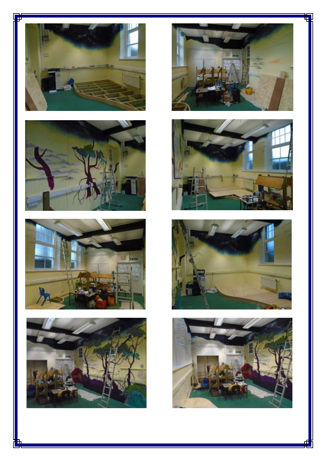













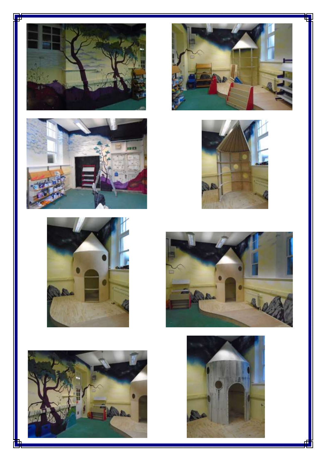













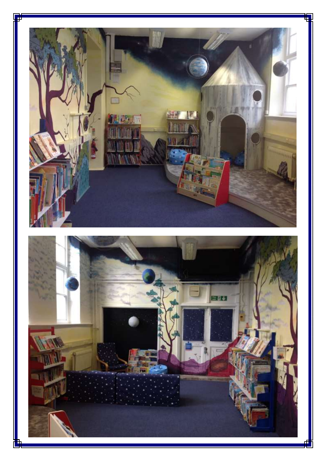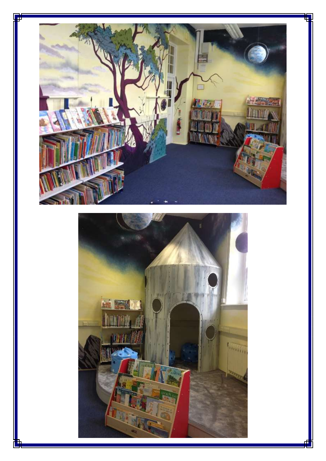